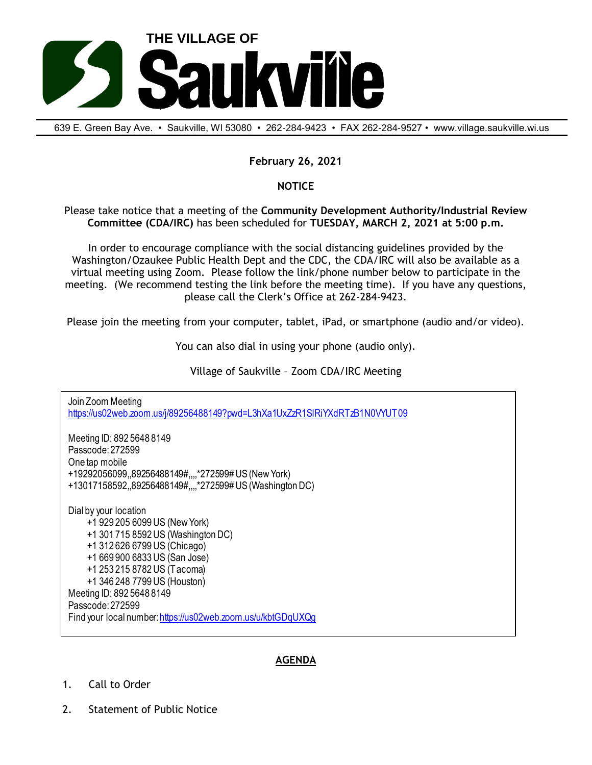

639 E. Green Bay Ave. • Saukville, Wl 53080 • 262-284-9423 • FAX 262-284-9527 • www.village.saukville.wi.us

## **February 26, 2021**

## **NOTICE**

Please take notice that a meeting of the **Community Development Authority/Industrial Review Committee (CDA/IRC)** has been scheduled for **TUESDAY, MARCH 2, 2021 at 5:00 p.m.**

In order to encourage compliance with the social distancing guidelines provided by the Washington/Ozaukee Public Health Dept and the CDC, the CDA/IRC will also be available as a virtual meeting using Zoom. Please follow the link/phone number below to participate in the meeting. (We recommend testing the link before the meeting time). If you have any questions, please call the Clerk's Office at 262-284-9423.

Please join the meeting from your computer, tablet, iPad, or smartphone (audio and/or video).

You can also dial in using your phone (audio only).

Village of Saukville – Zoom CDA/IRC Meeting

Join Zoom Meeting https://us02web.zoom.us/j/89256488149?pwd=L3hXa1UxZzR1SlRiYXdRTzB1N0VYUT09 Meeting ID: 892 5648 8149 Passcode: 272599 One tap mobile +19292056099,,89256488149#,,,,\*272599# US (New York) +13017158592,,89256488149#,,,,\*272599# US (Washington DC) Dial by your location +1 929 205 6099 US (New York) +1 301 715 8592 US (Washington DC) +1 312 626 6799 US (Chicago) +1 669 900 6833 US (San Jose) +1 253 215 8782 US (Tacoma) +1 346 248 7799 US (Houston) Meeting ID: 892 5648 8149 Passcode: 272599 Find your local number: https://us02web.zoom.us/u/kbtGDqUXQg

## **AGENDA**

- 1. Call to Order
- 2. Statement of Public Notice